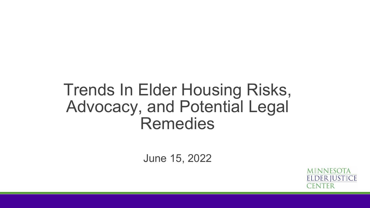### Trends In Elder Housing Risks, Advocacy, and Potential Legal Remedies

June 15, 2022

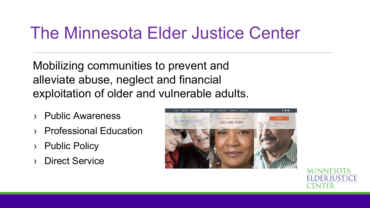### The Minnesota Elder Justice Center

Mobilizing communities to prevent and alleviate abuse, neglect and financial exploitation of older and vulnerable adults.

- **Public Awareness**
- **Professional Education**
- **Public Policy**
- › Direct Service



**MINNESOTA ELDER JUST CE**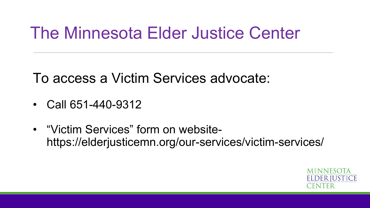### The Minnesota Elder Justice Center

To access a Victim Services advocate:

- Call 651-440-9312
- "Victim Services" form on websitehttps://elderjusticemn.org/our-services/victim-services/

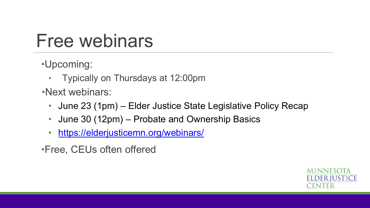### Free webinars

- •Upcoming:
	- Typically on Thursdays at 12:00pm
- •Next webinars:
	- June 23 (1pm) Elder Justice State Legislative Policy Recap
	- June 30 (12pm) Probate and Ownership Basics
	- <https://elderjusticemn.org/webinars/>
- •Free, CEUs often offered

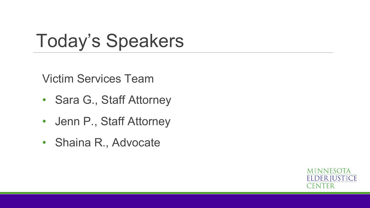### Today's Speakers

Victim Services Team

- Sara G., Staff Attorney
- Jenn P., Staff Attorney
- Shaina R., Advocate

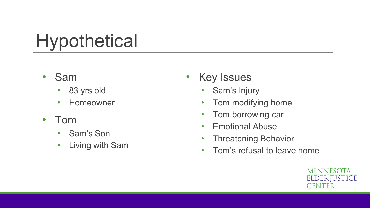# **Hypothetical**

- Sam
	- 83 yrs old
	- Homeowner
- Tom
	- Sam's Son
	- Living with Sam
- Key Issues
	- Sam's Injury
	- Tom modifying home
	- Tom borrowing car
	- Emotional Abuse
	- Threatening Behavior
	- Tom's refusal to leave home

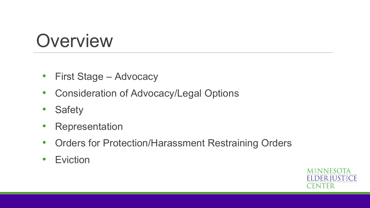### **Overview**

- First Stage Advocacy
- Consideration of Advocacy/Legal Options
- Safety
- **Representation**
- Orders for Protection/Harassment Restraining Orders
- Eviction

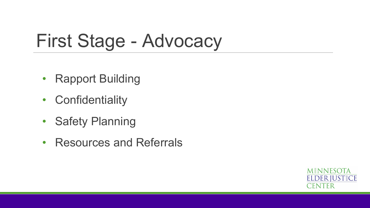### First Stage - Advocacy

- Rapport Building
- Confidentiality
- Safety Planning
- Resources and Referrals

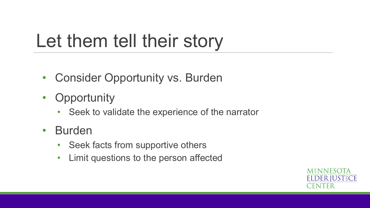## Let them tell their story

- Consider Opportunity vs. Burden
- Opportunity
	- Seek to validate the experience of the narrator
- Burden
	- Seek facts from supportive others
	- Limit questions to the person affected

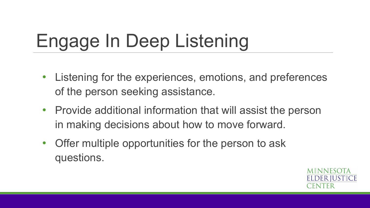# Engage In Deep Listening

- Listening for the experiences, emotions, and preferences of the person seeking assistance.
- Provide additional information that will assist the person in making decisions about how to move forward.
- Offer multiple opportunities for the person to ask questions.

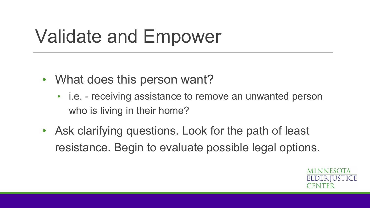# Validate and Empower

- What does this person want?
	- i.e. receiving assistance to remove an unwanted person who is living in their home?
- Ask clarifying questions. Look for the path of least resistance. Begin to evaluate possible legal options.

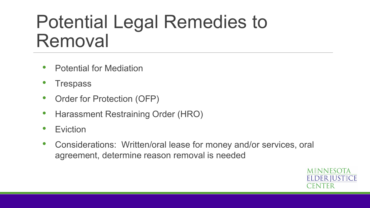### Potential Legal Remedies to Removal

- Potential for Mediation
- **Trespass**
- Order for Protection (OFP)
- Harassment Restraining Order (HRO)
- **Eviction**
- Considerations: Written/oral lease for money and/or services, oral agreement, determine reason removal is needed

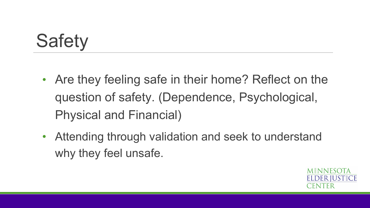# **Safety**

- Are they feeling safe in their home? Reflect on the question of safety. (Dependence, Psychological, Physical and Financial)
- Attending through validation and seek to understand why they feel unsafe.

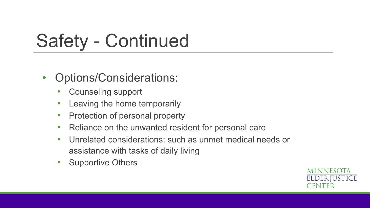# Safety - Continued

- Options/Considerations:
	- Counseling support
	- Leaving the home temporarily
	- Protection of personal property
	- Reliance on the unwanted resident for personal care
	- Unrelated considerations: such as unmet medical needs or assistance with tasks of daily living
	- Supportive Others

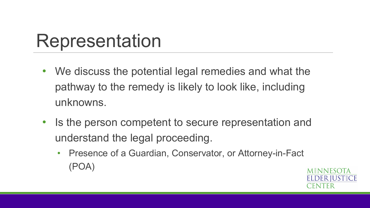### Representation

- We discuss the potential legal remedies and what the pathway to the remedy is likely to look like, including unknowns.
- Is the person competent to secure representation and understand the legal proceeding.
	- Presence of a Guardian, Conservator, or Attorney-in-Fact (POA)

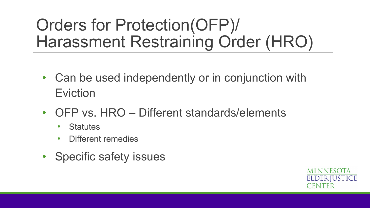### Orders for Protection(OFP)/ Harassment Restraining Order (HRO)

- Can be used independently or in conjunction with Eviction
- OFP vs. HRO Different standards/elements
	- Statutes
	- Different remedies
- Specific safety issues

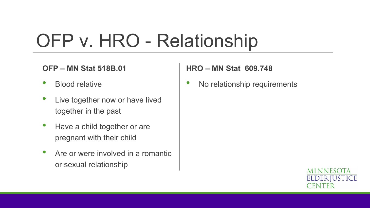## OFP v. HRO - Relationship

#### **OFP – MN Stat 518B.01**

- Blood relative
- Live together now or have lived together in the past
- Have a child together or are pregnant with their child
- Are or were involved in a romantic or sexual relationship

#### **HRO – MN Stat 609.748**

No relationship requirements

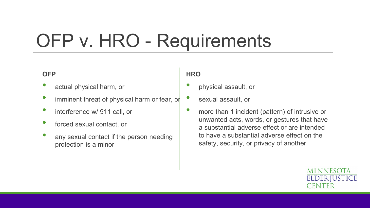# OFP v. HRO - Requirements

#### **OFP**

- actual physical harm, or
- imminent threat of physical harm or fear, or
- interference w/ 911 call, or
- forced sexual contact, or
- any sexual contact if the person needing protection is a minor

#### **HRO**

• physical assault, or

• sexual assault, or

• more than 1 incident (pattern) of intrusive or unwanted acts, words, or gestures that have a substantial adverse effect or are intended to have a substantial adverse effect on the safety, security, or privacy of another

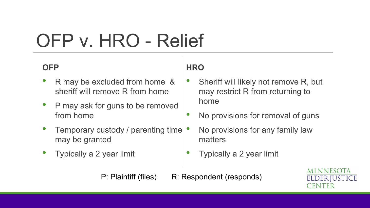# OFP v. HRO - Relief

### **OFP**

- R may be excluded from home & sheriff will remove R from home
- P may ask for guns to be removed from home
- Temporary custody / parenting time may be granted
- Typically a 2 year limit

### **HRO**

- Sheriff will likely not remove R, but may restrict R from returning to home
- No provisions for removal of guns
- No provisions for any family law matters
- Typically a 2 year limit
- P: Plaintiff (files) R: Respondent (responds)

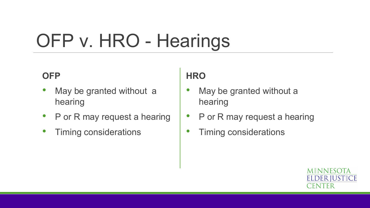# OFP v. HRO - Hearings

### **OFP**

- May be granted without a hearing
- P or R may request a hearing
- Timing considerations

### **HRO**

- May be granted without a hearing
- P or R may request a hearing
- Timing considerations

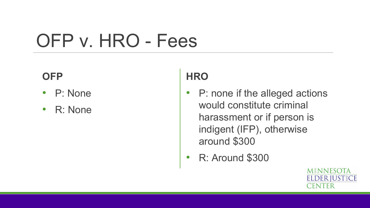# OFP v. HRO - Fees

### **OFP**

- P: None
- R: None

### **HRO**

- P: none if the alleged actions would constitute criminal harassment or if person is indigent (IFP), otherwise around \$300
- R: Around \$300

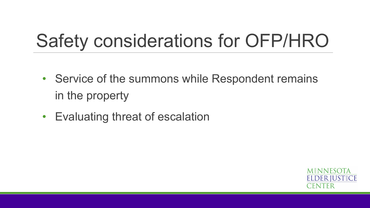# Safety considerations for OFP/HRO

- Service of the summons while Respondent remains in the property
- Evaluating threat of escalation

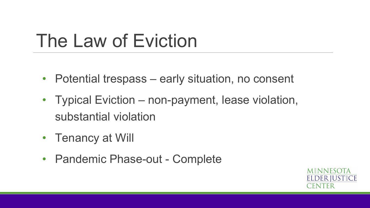## The Law of Eviction

- Potential trespass early situation, no consent
- Typical Eviction non-payment, lease violation, substantial violation
- Tenancy at Will
- Pandemic Phase-out Complete

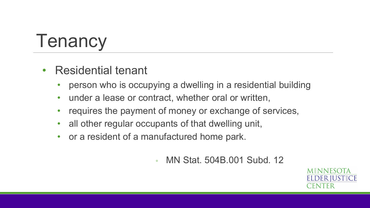# **Tenancy**

- Residential tenant
	- person who is occupying a dwelling in a residential building
	- under a lease or contract, whether oral or written,
	- requires the payment of money or exchange of services,
	- all other regular occupants of that dwelling unit,
	- or a resident of a manufactured home park.
		- MN Stat. 504B.001 Subd. 12

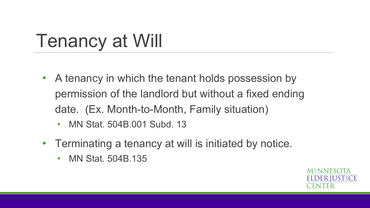# Tenancy at Will

- A tenancy in which the tenant holds possession by permission of the landlord but without a fixed ending date. (Ex. Month-to-Month, Family situation)
	- MN Stat. 504B.001 Subd. 13
- Terminating a tenancy at will is initiated by notice.
	- MN Stat. 504B.135

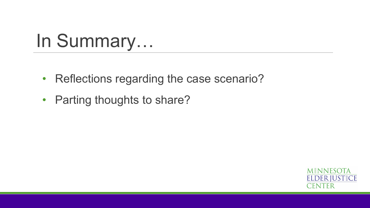# In Summary…

- Reflections regarding the case scenario?
- Parting thoughts to share?

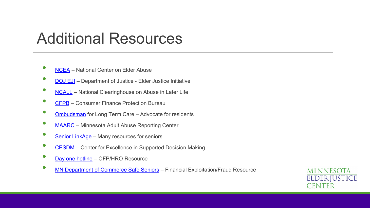### Additional Resources

- **[NCEA](https://ncea.acl.gov/)** National Center on Elder Abuse
- **[DOJ EJI](https://www.justice.gov/elderjustice)** Department of Justice Elder Justice Initiative
- [NCALL](https://www.ncall.us/abuse-in-later-life/) National Clearinghouse on Abuse in Later Life
- [CFPB](https://www.consumerfinance.gov/) Consumer Finance Protection Bureau
- **[Ombudsman](https://mn.gov/ooltc/)** for Long Term Care Advocate for residents
- [MAARC](https://mn.gov/dhs/people-we-serve/adults/services/adult-protection/) Minnesota Adult Abuse Reporting Center
- [Senior LinkAge](https://mn.gov/senior-linkage-line/) Many resources for seniors
- [CESDM](https://www.voamnwi.org/center-excellence-supported-decision-making)  Center for Excellence in Supported Decision Making
- [Day one hotline](http://dayoneservices.org/) OFP/HRO Resource
- [MN Department of Commerce Safe Seniors](https://mn.gov/commerce/consumers/your-money/senior-safe/) Financial Exploitation/Fraud Resource

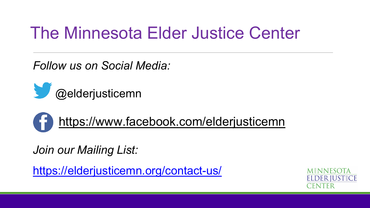### The Minnesota Elder Justice Center

*Follow us on Social Media:*



### <https://www.facebook.com/elderjusticemn>

*Join our Mailing List:*

<https://elderjusticemn.org/contact-us/>